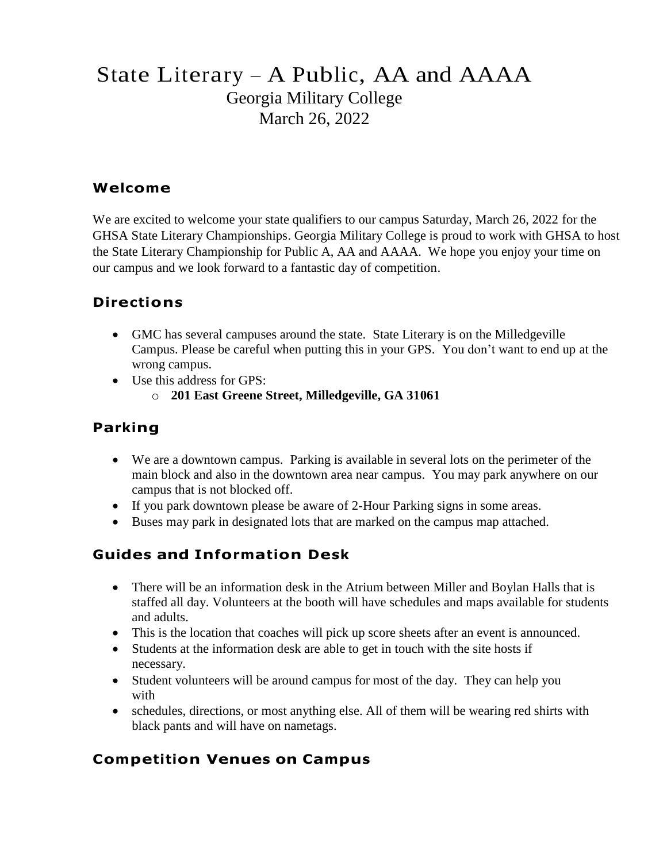# State Literary – A Public, AA and AAAA Georgia Military College March 26, 2022

#### **Welcome**

We are excited to welcome your state qualifiers to our campus Saturday, March 26, 2022 for the GHSA State Literary Championships. Georgia Military College is proud to work with GHSA to host the State Literary Championship for Public A, AA and AAAA. We hope you enjoy your time on our campus and we look forward to a fantastic day of competition.

### **Directions**

- GMC has several campuses around the state. State Literary is on the Milledgeville Campus. Please be careful when putting this in your GPS. You don't want to end up at the wrong campus.
- Use this address for GPS:
	- o **201 East Greene Street, Milledgeville, GA 31061**

### **Parking**

- We are a downtown campus. Parking is available in several lots on the perimeter of the main block and also in the downtown area near campus. You may park anywhere on our campus that is not blocked off.
- If you park downtown please be aware of 2-Hour Parking signs in some areas.
- Buses may park in designated lots that are marked on the campus map attached.

### **Guides and Information Desk**

- There will be an information desk in the Atrium between Miller and Boylan Halls that is staffed all day. Volunteers at the booth will have schedules and maps available for students and adults.
- This is the location that coaches will pick up score sheets after an event is announced.
- Students at the information desk are able to get in touch with the site hosts if necessary.
- Student volunteers will be around campus for most of the day. They can help you with
- schedules, directions, or most anything else. All of them will be wearing red shirts with black pants and will have on nametags.

### **Competition Venues on Campus**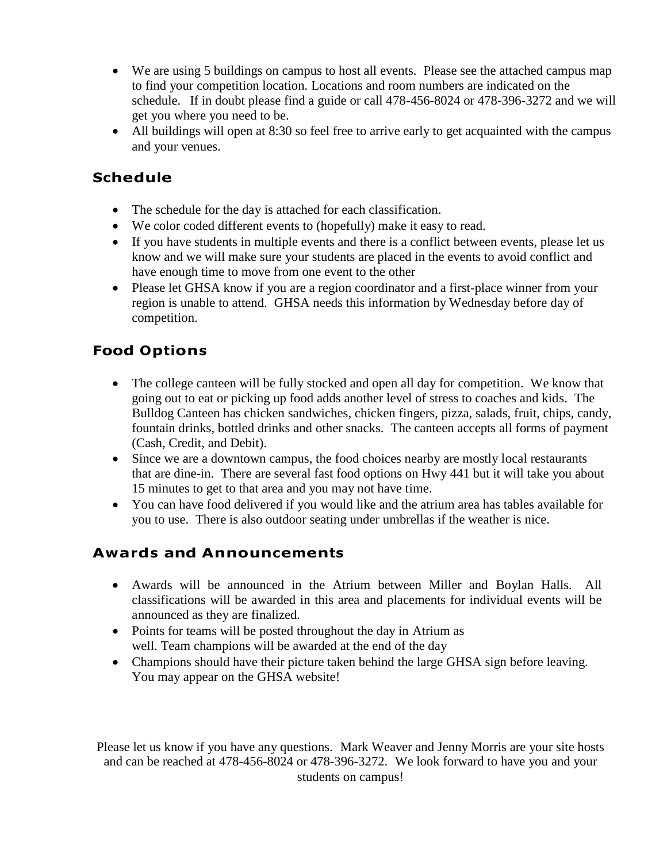- We are using 5 buildings on campus to host all events. Please see the attached campus map to find your competition location. Locations and room numbers are indicated on the schedule. If in doubt please find a guide or call 478-456-8024 or 478-396-3272 and we will get you where you need to be.
- All buildings will open at 8:30 so feel free to arrive early to get acquainted with the campus and your venues.

## **Schedule**

- The schedule for the day is attached for each classification.
- We color coded different events to (hopefully) make it easy to read.
- If you have students in multiple events and there is a conflict between events, please let us know and we will make sure your students are placed in the events to avoid conflict and have enough time to move from one event to the other
- Please let GHSA know if you are a region coordinator and a first-place winner from your region is unable to attend. GHSA needs this information by Wednesday before day of competition.

# **Food Options**

- The college canteen will be fully stocked and open all day for competition. We know that going out to eat or picking up food adds another level of stress to coaches and kids. The Bulldog Canteen has chicken sandwiches, chicken fingers, pizza, salads, fruit, chips, candy, fountain drinks, bottled drinks and other snacks. The canteen accepts all forms of payment (Cash, Credit, and Debit).
- Since we are a downtown campus, the food choices nearby are mostly local restaurants that are dine-in. There are several fast food options on Hwy 441 but it will take you about 15 minutes to get to that area and you may not have time.
- You can have food delivered if you would like and the atrium area has tables available for you to use. There is also outdoor seating under umbrellas if the weather is nice.

### **Awards and Announcements**

- Awards will be announced in the Atrium between Miller and Boylan Halls. All classifications will be awarded in this area and placements for individual events will be announced as they are finalized.
- Points for teams will be posted throughout the day in Atrium as well. Team champions will be awarded at the end of the day
- Champions should have their picture taken behind the large GHSA sign before leaving. You may appear on the GHSA website!

Please let us know if you have any questions. Mark Weaver and Jenny Morris are your site hosts and can be reached at 478-456-8024 or 478-396-3272. We look forward to have you and your students on campus!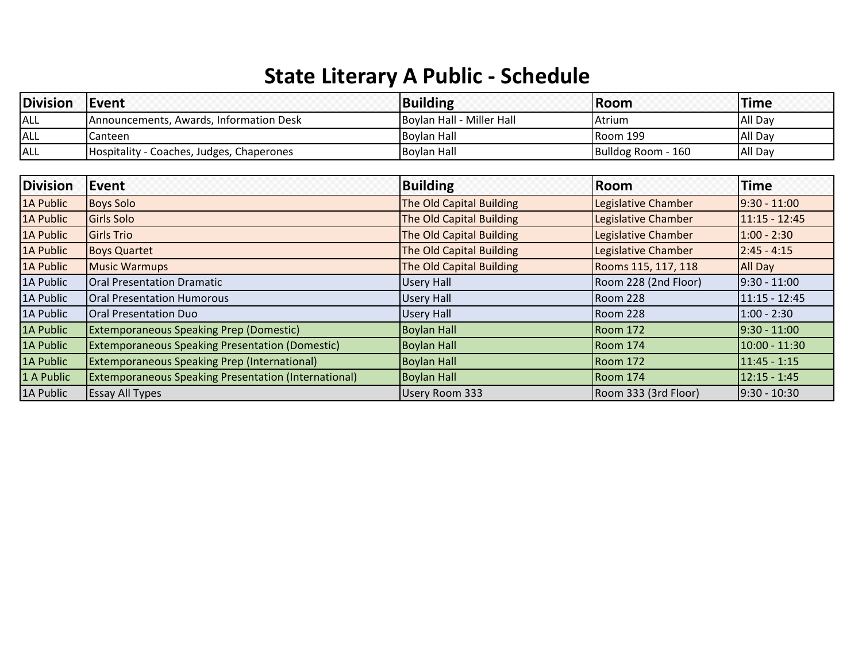# **State Literary A Public - Schedule**

| <b>Division</b> | Event                                                       | <b>Building</b>           | Room                 | <b>Time</b>     |
|-----------------|-------------------------------------------------------------|---------------------------|----------------------|-----------------|
| ALL             | Announcements, Awards, Information Desk                     | Boylan Hall - Miller Hall | Atrium               | All Day         |
| ALL             | Canteen                                                     | <b>Boylan Hall</b>        | Room 199             | All Day         |
| <b>ALL</b>      | Hospitality - Coaches, Judges, Chaperones                   | <b>Boylan Hall</b>        | Bulldog Room - 160   | All Day         |
| <b>Division</b> | Event                                                       | <b>Building</b>           | Room                 | <b>Time</b>     |
| 1A Public       | <b>Boys Solo</b>                                            | The Old Capital Building  | Legislative Chamber  | $9:30 - 11:00$  |
| 1A Public       | <b>Girls Solo</b>                                           | The Old Capital Building  | Legislative Chamber  | $11:15 - 12:45$ |
| 1A Public       | <b>Girls Trio</b>                                           | The Old Capital Building  | Legislative Chamber  | $1:00 - 2:30$   |
| 1A Public       | <b>Boys Quartet</b>                                         | The Old Capital Building  | Legislative Chamber  | $2:45 - 4:15$   |
| 1A Public       | <b>Music Warmups</b>                                        | The Old Capital Building  | Rooms 115, 117, 118  | All Day         |
| 1A Public       | <b>Oral Presentation Dramatic</b>                           | <b>Usery Hall</b>         | Room 228 (2nd Floor) | $9:30 - 11:00$  |
| 1A Public       | <b>Oral Presentation Humorous</b>                           | <b>Usery Hall</b>         | <b>Room 228</b>      | $11:15 - 12:45$ |
| 1A Public       | <b>Oral Presentation Duo</b>                                | <b>Usery Hall</b>         | Room 228             | $1:00 - 2:30$   |
| 1A Public       | <b>Extemporaneous Speaking Prep (Domestic)</b>              | <b>Boylan Hall</b>        | Room 172             | $9:30 - 11:00$  |
| 1A Public       | <b>Extemporaneous Speaking Presentation (Domestic)</b>      | <b>Boylan Hall</b>        | Room 174             | $10:00 - 11:30$ |
| 1A Public       | <b>Extemporaneous Speaking Prep (International)</b>         | <b>Boylan Hall</b>        | Room 172             | $11:45 - 1:15$  |
| 1 A Public      | <b>Extemporaneous Speaking Presentation (International)</b> | <b>Boylan Hall</b>        | Room 174             | $12:15 - 1:45$  |
| 1A Public       | <b>Essay All Types</b>                                      | <b>Usery Room 333</b>     | Room 333 (3rd Floor) | 9:30 - 10:30    |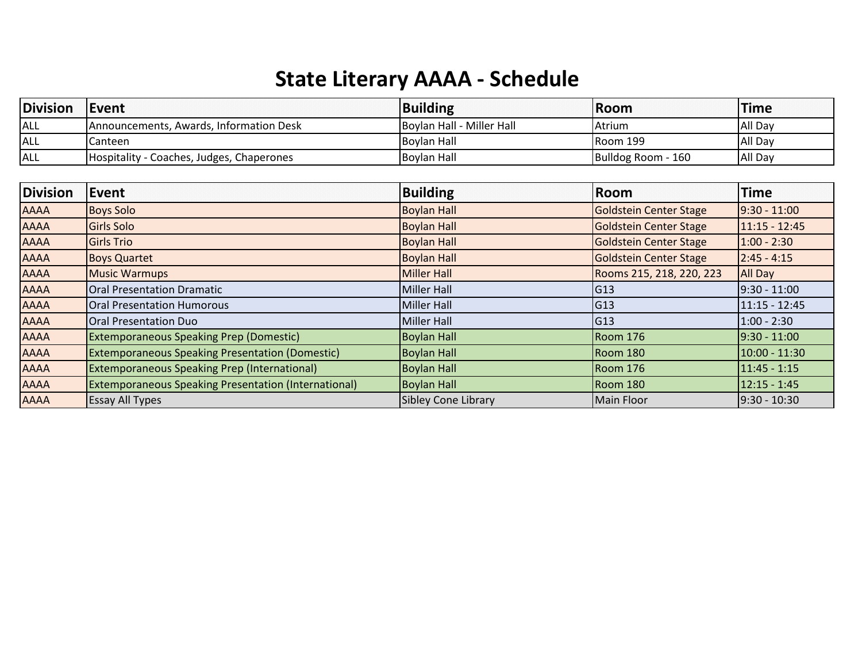# **State Literary AAAA - Schedule**

| <b>Division</b> | Event                                     | Building                  | <b>IRoom</b>       | <b>Time</b> |
|-----------------|-------------------------------------------|---------------------------|--------------------|-------------|
| <b>ALL</b>      | Announcements, Awards, Information Desk   | Boylan Hall - Miller Hall | <b>IAtrium</b>     | All Day     |
| <b>ALL</b>      | ICanteen                                  | <b>IBovlan Hall</b>       | <b>IRoom 199</b>   | All Day     |
| <b>ALL</b>      | Hospitality - Coaches, Judges, Chaperones | Boylan Hall               | Bulldog Room - 160 | All Day     |

| <b>Division</b> | Event                                                       | <b>Building</b>            | Room                          | <b>Time</b>     |
|-----------------|-------------------------------------------------------------|----------------------------|-------------------------------|-----------------|
| <b>AAAA</b>     | <b>Boys Solo</b>                                            | <b>Boylan Hall</b>         | Goldstein Center Stage        | $9:30 - 11:00$  |
| <b>AAAA</b>     | Girls Solo                                                  | <b>Boylan Hall</b>         | Goldstein Center Stage        | $11:15 - 12:45$ |
| <b>AAAA</b>     | <b>Girls Trio</b>                                           | <b>Boylan Hall</b>         | <b>Goldstein Center Stage</b> | $1:00 - 2:30$   |
| <b>AAAA</b>     | <b>Boys Quartet</b>                                         | <b>Boylan Hall</b>         | Goldstein Center Stage        | $2:45 - 4:15$   |
| <b>AAAA</b>     | <b>Music Warmups</b>                                        | <b>Miller Hall</b>         | Rooms 215, 218, 220, 223      | <b>All Day</b>  |
| <b>AAAA</b>     | <b>Oral Presentation Dramatic</b>                           | Miller Hall                | G13                           | $9:30 - 11:00$  |
| <b>AAAA</b>     | <b>Oral Presentation Humorous</b>                           | Miller Hall                | G13                           | 11:15 - 12:45   |
| <b>AAAA</b>     | <b>Oral Presentation Duo</b>                                | Miller Hall                | G13                           | $1:00 - 2:30$   |
| <b>AAAA</b>     | <b>Extemporaneous Speaking Prep (Domestic)</b>              | <b>Boylan Hall</b>         | Room 176                      | 9:30 - 11:00    |
| <b>AAAA</b>     | <b>Extemporaneous Speaking Presentation (Domestic)</b>      | <b>Boylan Hall</b>         | Room 180                      | 10:00 - 11:30   |
| <b>AAAA</b>     | <b>Extemporaneous Speaking Prep (International)</b>         | <b>Boylan Hall</b>         | Room 176                      | 11:45 - 1:15    |
| <b>AAAA</b>     | <b>Extemporaneous Speaking Presentation (International)</b> | <b>Boylan Hall</b>         | Room 180                      | $12:15 - 1:45$  |
| <b>AAAA</b>     | <b>Essay All Types</b>                                      | <b>Sibley Cone Library</b> | Main Floor                    | $9:30 - 10:30$  |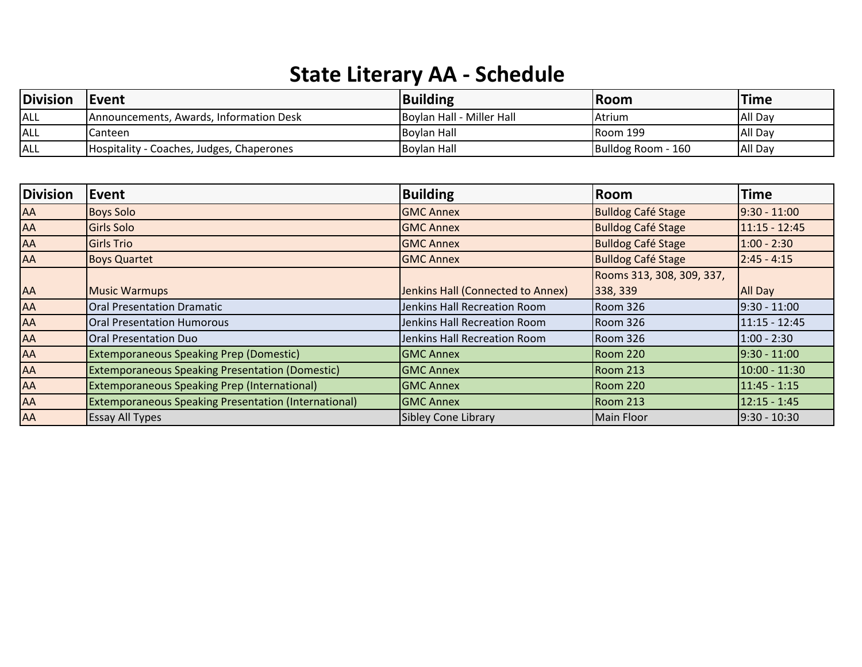# **State Literary AA - Schedule**

| Division | Event                                           | Building                  | <b>Room</b>        | <b>Time</b> |
|----------|-------------------------------------------------|---------------------------|--------------------|-------------|
| ALL      | <b>IAnnouncements, Awards, Information Desk</b> | Boylan Hall - Miller Hall | l Atrium           | All Day     |
| ALL      | ICanteen                                        | <b>Boylan Hall</b>        | IRoom 199          | All Day     |
| ALL      | Hospitality - Coaches, Judges, Chaperones       | <b>Boylan Hall</b>        | Bulldog Room - 160 | All Day     |

| <b>Division</b> | Event                                                       | <b>Building</b>                   | Room                      | <b>Time</b>     |
|-----------------|-------------------------------------------------------------|-----------------------------------|---------------------------|-----------------|
| AA              | <b>Boys Solo</b>                                            | <b>GMC Annex</b>                  | <b>Bulldog Café Stage</b> | $9:30 - 11:00$  |
| AA              | Girls Solo                                                  | <b>GMC Annex</b>                  | <b>Bulldog Café Stage</b> | $11:15 - 12:45$ |
| <b>AA</b>       | <b>Girls Trio</b>                                           | <b>GMC Annex</b>                  | <b>Bulldog Café Stage</b> | $1:00 - 2:30$   |
| <b>AA</b>       | <b>Boys Quartet</b>                                         | <b>GMC Annex</b>                  | <b>Bulldog Café Stage</b> | $2:45 - 4:15$   |
|                 |                                                             |                                   | Rooms 313, 308, 309, 337, |                 |
| <b>AA</b>       | <b>Music Warmups</b>                                        | Jenkins Hall (Connected to Annex) | 338, 339                  | <b>All Day</b>  |
| AA              | <b>Oral Presentation Dramatic</b>                           | Jenkins Hall Recreation Room      | <b>Room 326</b>           | $9:30 - 11:00$  |
| AA              | <b>Oral Presentation Humorous</b>                           | Jenkins Hall Recreation Room      | Room 326                  | 11:15 - 12:45   |
| AA              | Oral Presentation Duo                                       | Jenkins Hall Recreation Room      | Room 326                  | $1:00 - 2:30$   |
| AA              | <b>Extemporaneous Speaking Prep (Domestic)</b>              | <b>GMC Annex</b>                  | <b>Room 220</b>           | $9:30 - 11:00$  |
| AA              | <b>Extemporaneous Speaking Presentation (Domestic)</b>      | <b>GMC Annex</b>                  | IRoom 213                 | 10:00 - 11:30   |
| <b>AA</b>       | <b>Extemporaneous Speaking Prep (International)</b>         | <b>GMC Annex</b>                  | <b>Room 220</b>           | $11:45 - 1:15$  |
| AA              | <b>Extemporaneous Speaking Presentation (International)</b> | <b>GMC Annex</b>                  | <b>Room 213</b>           | $12:15 - 1:45$  |
| AA              | <b>Essay All Types</b>                                      | <b>Sibley Cone Library</b>        | Main Floor                | $9:30 - 10:30$  |